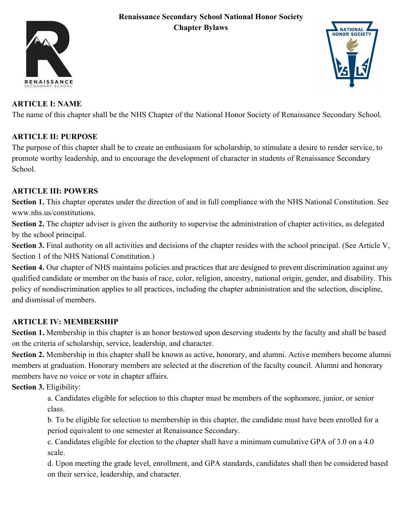#### **Renaissance Secondary School National Honor Society Chapter Bylaws**





## **ARTICLE I: NAME**

The name of this chapter shall be the NHS Chapter of the National Honor Society of Renaissance Secondary School.

# **ARTICLE II: PURPOSE**

The purpose of this chapter shall be to create an enthusiasm for scholarship, to stimulate a desire to render service, to promote worthy leadership, and to encourage the development of character in students of Renaissance Secondary School.

## **ARTICLE III: POWERS**

**Section 1.** This chapter operates under the direction of and in full compliance with the NHS National Constitution. See www.nhs.us/constitutions.

**Section 2.** The chapter adviser is given the authority to supervise the administration of chapter activities, as delegated by the school principal.

**Section 3.** Final authority on all activities and decisions of the chapter resides with the school principal. (See Article V, Section 1 of the NHS National Constitution.)

**Section 4.** Our chapter of NHS maintains policies and practices that are designed to prevent discrimination against any qualified candidate or member on the basis of race, color, religion, ancestry, national origin, gender, and disability. This policy of nondiscrimination applies to all practices, including the chapter administration and the selection, discipline, and dismissal of members.

## **ARTICLE IV: MEMBERSHIP**

**Section 1.** Membership in this chapter is an honor bestowed upon deserving students by the faculty and shall be based on the criteria of scholarship, service, leadership, and character.

**Section 2.** Membership in this chapter shall be known as active, honorary, and alumni. Active members become alumni members at graduation. Honorary members are selected at the discretion of the faculty council. Alumni and honorary members have no voice or vote in chapter affairs.

**Section 3.** Eligibility:

a. Candidates eligible for selection to this chapter must be members of the sophomore, junior, or senior class.

b. To be eligible for selection to membership in this chapter, the candidate must have been enrolled for a period equivalent to one semester at Renaissance Secondary.

c. Candidates eligible for election to the chapter shall have a minimum cumulative GPA of 3.0 on a 4.0 scale.

d. Upon meeting the grade level, enrollment, and GPA standards, candidates shall then be considered based on their service, leadership, and character.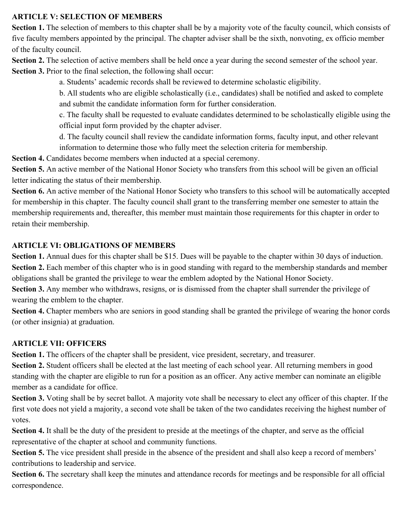#### **ARTICLE V: SELECTION OF MEMBERS**

**Section 1.** The selection of members to this chapter shall be by a majority vote of the faculty council, which consists of five faculty members appointed by the principal. The chapter adviser shall be the sixth, nonvoting, ex officio member of the faculty council.

**Section 2.** The selection of active members shall be held once a year during the second semester of the school year. **Section 3.** Prior to the final selection, the following shall occur:

a. Students' academic records shall be reviewed to determine scholastic eligibility.

b. All students who are eligible scholastically (i.e., candidates) shall be notified and asked to complete and submit the candidate information form for further consideration.

c. The faculty shall be requested to evaluate candidates determined to be scholastically eligible using the official input form provided by the chapter adviser.

d. The faculty council shall review the candidate information forms, faculty input, and other relevant information to determine those who fully meet the selection criteria for membership.

**Section 4.** Candidates become members when inducted at a special ceremony.

**Section 5.** An active member of the National Honor Society who transfers from this school will be given an official letter indicating the status of their membership.

**Section 6.** An active member of the National Honor Society who transfers to this school will be automatically accepted for membership in this chapter. The faculty council shall grant to the transferring member one semester to attain the membership requirements and, thereafter, this member must maintain those requirements for this chapter in order to retain their membership.

### **ARTICLE VI: OBLIGATIONS OF MEMBERS**

**Section 1.** Annual dues for this chapter shall be \$15. Dues will be payable to the chapter within 30 days of induction. **Section 2.** Each member of this chapter who is in good standing with regard to the membership standards and member obligations shall be granted the privilege to wear the emblem adopted by the National Honor Society.

**Section 3.** Any member who withdraws, resigns, or is dismissed from the chapter shall surrender the privilege of wearing the emblem to the chapter.

**Section 4.** Chapter members who are seniors in good standing shall be granted the privilege of wearing the honor cords (or other insignia) at graduation.

## **ARTICLE VII: OFFICERS**

**Section 1.** The officers of the chapter shall be president, vice president, secretary, and treasurer.

**Section 2.** Student officers shall be elected at the last meeting of each school year. All returning members in good standing with the chapter are eligible to run for a position as an officer. Any active member can nominate an eligible member as a candidate for office.

**Section 3.** Voting shall be by secret ballot. A majority vote shall be necessary to elect any officer of this chapter. If the first vote does not yield a majority, a second vote shall be taken of the two candidates receiving the highest number of votes.

**Section 4.** It shall be the duty of the president to preside at the meetings of the chapter, and serve as the official representative of the chapter at school and community functions.

**Section 5.** The vice president shall preside in the absence of the president and shall also keep a record of members' contributions to leadership and service.

**Section 6.** The secretary shall keep the minutes and attendance records for meetings and be responsible for all official correspondence.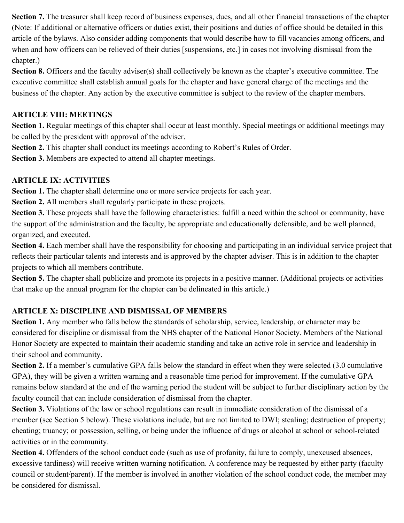**Section 7.** The treasurer shall keep record of business expenses, dues, and all other financial transactions of the chapter (Note: If additional or alternative officers or duties exist, their positions and duties of office should be detailed in this article of the bylaws. Also consider adding components that would describe how to fill vacancies among officers, and when and how officers can be relieved of their duties [suspensions, etc.] in cases not involving dismissal from the chapter.)

**Section 8.** Officers and the faculty adviser(s) shall collectively be known as the chapter's executive committee. The executive committee shall establish annual goals for the chapter and have general charge of the meetings and the business of the chapter. Any action by the executive committee is subject to the review of the chapter members.

### **ARTICLE VIII: MEETINGS**

**Section 1.** Regular meetings of this chapter shall occur at least monthly. Special meetings or additional meetings may be called by the president with approval of the adviser.

**Section 2.** This chapter shall conduct its meetings according to Robert's Rules of Order.

**Section 3.** Members are expected to attend all chapter meetings.

## **ARTICLE IX: ACTIVITIES**

**Section 1.** The chapter shall determine one or more service projects for each year.

**Section 2.** All members shall regularly participate in these projects.

**Section 3.** These projects shall have the following characteristics: fulfill a need within the school or community, have the support of the administration and the faculty, be appropriate and educationally defensible, and be well planned, organized, and executed.

**Section 4.** Each member shall have the responsibility for choosing and participating in an individual service project that reflects their particular talents and interests and is approved by the chapter adviser. This is in addition to the chapter projects to which all members contribute.

**Section 5.** The chapter shall publicize and promote its projects in a positive manner. (Additional projects or activities that make up the annual program for the chapter can be delineated in this article.)

## **ARTICLE X: DISCIPLINE AND DISMISSAL OF MEMBERS**

**Section 1.** Any member who falls below the standards of scholarship, service, leadership, or character may be considered for discipline or dismissal from the NHS chapter of the National Honor Society. Members of the National Honor Society are expected to maintain their academic standing and take an active role in service and leadership in their school and community.

**Section 2.** If a member's cumulative GPA falls below the standard in effect when they were selected (3.0 cumulative GPA), they will be given a written warning and a reasonable time period for improvement. If the cumulative GPA remains below standard at the end of the warning period the student will be subject to further disciplinary action by the faculty council that can include consideration of dismissal from the chapter.

**Section 3.** Violations of the law or school regulations can result in immediate consideration of the dismissal of a member (see Section 5 below). These violations include, but are not limited to DWI; stealing; destruction of property; cheating; truancy; or possession, selling, or being under the influence of drugs or alcohol at school or school-related activities or in the community.

**Section 4.** Offenders of the school conduct code (such as use of profanity, failure to comply, unexcused absences, excessive tardiness) will receive written warning notification. A conference may be requested by either party (faculty council or student/parent). If the member is involved in another violation of the school conduct code, the member may be considered for dismissal.